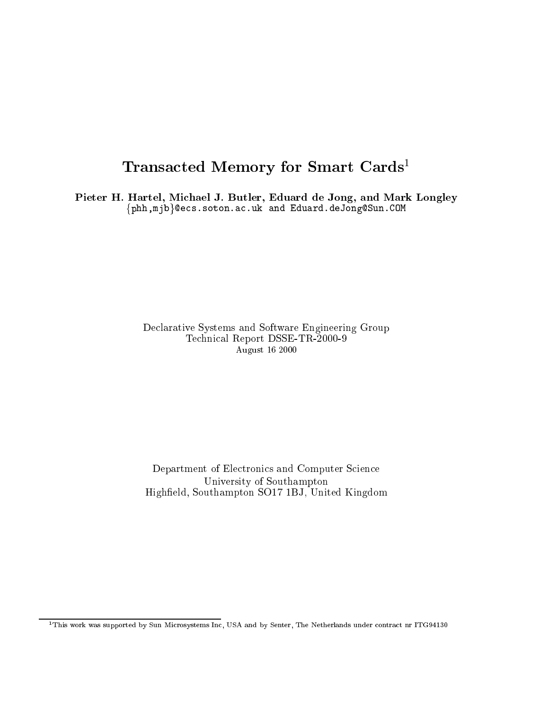# Transacted Memory for Smart Cards<sup>1</sup>

Pieter H. Hartel, Michael J. Butler, Eduard de Jong, and Mark Longley  $\{ \text{phh}, \text{mjb} \}$ @ecs.soton.ac.uk and Eduard.deJong@Sun.COM

> Declarative Systems and Software Engineering Group Technical Report DSSE-TR-2000-9 August 16 $2000\,$

Department of Electronics and Computer Science University of Southampton Highfield, Southampton SO17 1BJ, United Kingdom

<sup>&</sup>lt;sup>1</sup>This work was supported by Sun Microsystems Inc, USA and by Senter, The Netherlands under contract nr ITG94130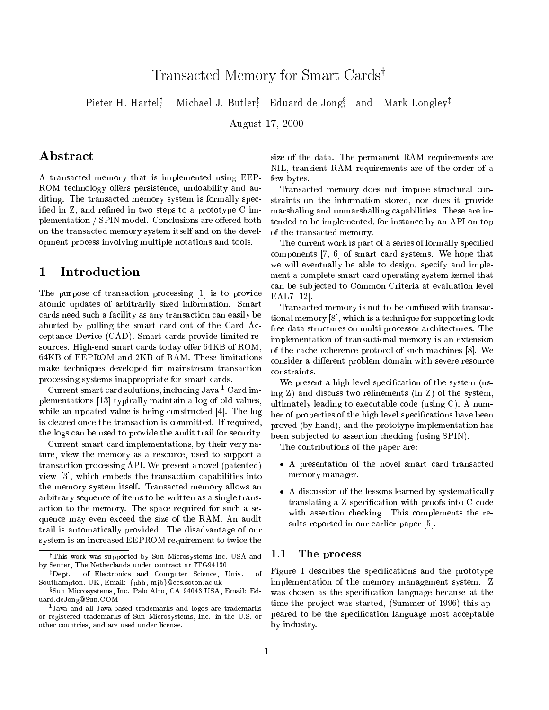# Transacted Memory for Smart Cards<sup>†</sup>

Pieter H. Hartel<sup>†</sup> r – Michael J. Butlerr – Eduard de Jongs and Mark Longley<sup> $\ddagger$ </sup>

August 17, 2000

### **Abstract**

A transa
ted memory that is implemented using EEP-ROM technology offers persistence, undoability and auditing. The transacted memory system is formally specified in  $Z$ , and refined in two steps to a prototype  $C$  implementation / SPIN model. Conclusions are offered both on the transa
ted memory system itself and on the development pro
ess involving multiple notations and tools.

## 1 Introduction

The purpose of transaction processing  $[1]$  is to provide atomi updates of arbitrarily sized information. Smart cards need such a facility as any transaction can easily be aborted by pulling the smart card out of the Card Aceptan
e Devi
e (CAD). Smart ards provide limited resources. High-end smart cards today offer 64KB of ROM, 64KB of EEPROM and 2KB of RAM. These limitations make techniques developed for mainstream transaction pro
essing systems inappropriate for smart ards.

 $C$ urrent smart card solutions, including Java  $C$ ard implementations [13] typically maintain a log of old values, while an updated value is being constructed  $[4]$ . The log is leared on
e the transa
tion is ommitted. If required, the logs can be used to provide the audit trail for security.

Current smart ard implementations, by their very nature, view the memory as a resour
e, used to support a transa
tion pro
essing API. We present a novel (patented) view [3], which embeds the transaction capabilities into the memory system itself. Transa
ted memory allows an arbitrary sequen
e of items to be written as a single transa
tion to the memory. The spa
e required for su
h a sequen
e may even ex
eed the size of the RAM. An audit trail is automati
ally provided. The disadvantage of our system is an increased EEPROM requirement to twice the size of the data. The permanent RAM requirements are NIL, transient RAM requirements are of the order of a few bytes.

Transacted memory does not impose structural constraints on the information stored, nor does it provide marshaling and unmarshalling capabilities. These are intended to be implemented, for instan
e by an API on top of the transa
ted memory.

The current work is part of a series of formally specified components  $[7, 6]$  of smart card systems. We hope that we will eventually be able to design, specify and implement a omplete smart ard operating system kernel that an be sub je
ted to Common Criteria at evaluation level  $EAL7$  [12].

Transa
ted memory is not to be onfused with transa
 tional memory [8], which is a technique for supporting lock free data structures on multi processor architectures. The implementation of transa
tional memory is an extension of the cache coherence protocol of such machines [8]. We consider a different problem domain with severe resource constraints.

We present a high level specification of the system (using  $Z$ ) and discuss two refinements (in  $Z$ ) of the system, ultimately leading to exe
utable ode (using C). A number of properties of the high level specifications have been proved (by hand), and the prototype implementation has been subjected to assertion checking (using SPIN).

The ontributions of the paper are:

- A presentation of the novel smart ard transa
ted memory manager.
- A dis
ussion of the lessons learned by systemati
ally translating a Z specification with proofs into C code with assertion checking. This complements the results reported in our earlier paper [5].

### 1.1 The process

Figure 1 describes the specifications and the prototype implementation of the memory management system. Z was chosen as the specification language because at the time the project was started, (Summer of 1996) this appeared to be the specification language most acceptable by industry.

<sup>&</sup>lt;sup>†</sup>This work was supported by Sun Microsystems Inc, USA and by Senter, The Netherlands under ontra
t nr ITG94130

<sup>&</sup>lt;sup>‡</sup>Dept. of Electronics and Computer Science, Univ. of Southampton, UK, Email: {phh, mjb}@ecs.soton.ac.uk

<sup>x</sup> Sun Mi
rosystems, In
. Palo Alto, CA 94043 USA, Email: Eduard deJong@Sun COM uard.deJongSun.COM

<sup>1</sup> Java and all Java-based trademarks and logos are trademarks or registered trademarks of Sun Mi
rosystems, In
. in the U.S. or other ountries, and are used under li
ense.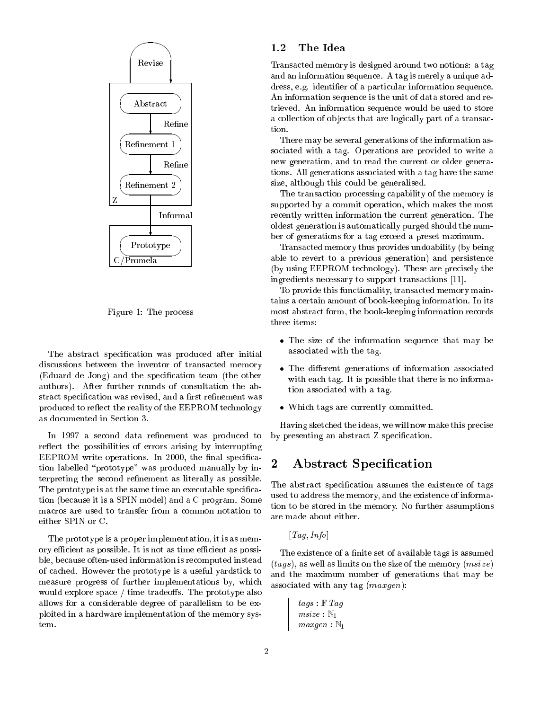

Figure 1: The pro
ess

The abstract specification was produced after initial discussions between the inventor of transacted memory (Eduard de Jong) and the specification team (the other authors). After further rounds of onsultation the abstract specification was revised, and a first refinement was produced to reflect the reality of the EEPROM technology as do
umented in Se
tion 3.

In 1997 a second data refinement was produced to reflect the possibilities of errors arising by interrupting EEPROM write operations. In 2000, the final specification labelled "prototype" was produced manually by interpreting the second refinement as literally as possible. The prototype is at the same time an executable specification (be
ause it is a SPIN model) and a C program. Some macros are used to transfer from a common notation to either SPIN or C.

The prototype is a proper implementation, it is as memory efficient as possible. It is not as time efficient as possible, be
ause often-used information is re
omputed instead of a
hed. However the prototype is a useful yardsti
k to measure progress of further implementations by, whi
h would explore space / time tradeoffs. The prototype also allows for a onsiderable degree of parallelism to be exploited in a hardware implementation of the memory system.

#### 1.2The Idea

Transa
ted memory is designed around two notions: a tag and an information sequen
e. A tag is merely a unique address, e.g. identifier of a particular information sequence. An information sequen
e is the unit of data stored and retrieved. An information sequen
e would be used to store a collection of objects that are logically part of a transaction.

There may be several generations of the information asso
iated with a tag. Operations are provided to write a new generation, and to read the current or older generations. All generations asso
iated with a tag have the same size, although this could be generalised.

The transaction processing capability of the memory is supported by a ommit operation, whi
h makes the most recently written information the current generation. The oldest generation is automati
ally purged should the number of generations for a tag ex
eed a preset maximum.

Transa
ted memory thus provides undoability (by being able to revert to a previous generation) and persisten
e (by using EEPROM te
hnology). These are pre
isely the ingredients necessary to support transactions  $[11]$ .

To provide this fun
tionality, transa
ted memory maintains a ertain amount of book-keeping information. In its most abstract form, the book-keeping information records three items:

- The size of the information sequen
e that may be asso
iated with the tag.
- The dierent generations of informations of informations of informations of informations of information associated with each tag. It is possible that there is no information asso
iated with a tag.
- which the contract are a strong and the contract of the contract of the contract of the contract of the contract of the contract of the contract of the contract of the contract of the contract of the contract of the contra

Having sket
hed the ideas, we will now make this pre
ise by presenting an abstract Z specification.

### 2 Abstract Specification

The abstract specification assumes the existence of tags used to address the memory, and the existen
e of information to be stored in the memory. No further assumptions are made about either.

 $[Tag, Info]$ 

The existence of a finite set of available tags is assumed  $(tags)$ , as well as limits on the size of the memory  $(msize)$ and the maximum number of generations that may be asso
iated with any tag (maxgen):

```
tags : \mathbb{F} Taq
msize:\mathbb{N}_1maxqen : \mathbb{N}_1
```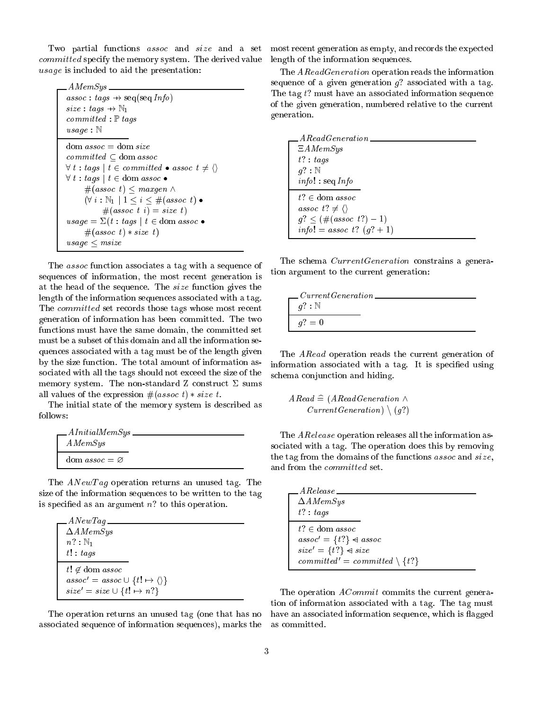Two partial functions assoc and size and a set committed specify the memory system. The derived value *usage* is included to aid the presentation:

| $AMemSus$ $\_$                                                                    |
|-----------------------------------------------------------------------------------|
| $assoc: tags \rightarrow seq(seq$                                                 |
| $size: tags \rightarrow \mathbb{N}_1$                                             |
| ${\it committed}: \mathbb{P}{\it tags}$                                           |
| $usage: \mathbb{N}$                                                               |
| $dom\;assoc = dom\;size$                                                          |
| ${\it committed} \subset \text{dom} \; \text{assoc}$                              |
| $\forall t : tags \mid t \in committed \bullet assoc \mid t \neq \langle \rangle$ |
| $\forall t : tags \mid t \in \text{dom } assoc \bullet$                           |
| $#(assoc t) < margin \wedge$                                                      |
| $(\forall i : \mathbb{N}_1 \mid 1 \leq i \leq \#(assoc t) \bullet$                |
| $#(assoc t i) = size t)$                                                          |
| $usage = \Sigma(t : tags \mid t \in \text{dom }assoc \bullet$                     |
| $#(assoc t) * size t)$                                                            |
| $usaae \leq msize$                                                                |

The assoc function associates a tag with a sequence of sequences of information, the most recent generation is at the head of the sequence. The  $size$  function gives the length of the information sequences associated with a tag. The committed set records those tags whose most recent generation of information has been committed. The two functions must have the same domain, the committed set must be a subset of this domain and all the information sequences associated with a tag must be of the length given by the size function. The total amount of information associated with all the tags should not exceed the size of the memory system. The non-standard Z construct  $\Sigma$  sums all values of the expression  $#(assoc t) * size t$ .

The initial state of the memory system is described as follows:

| <i>AlnitialMemSys</i><br>AMemSys |  |
|----------------------------------|--|
| dom <i>assoc</i> = $\varnothing$ |  |

The  $ANewTag$  operation returns an unused tag. The size of the information sequences to be written to the tag is specified as an argument  $n$ ? to this operation.

| A New Taq                                            |  |
|------------------------------------------------------|--|
| $\Delta$ AMemSys                                     |  |
| $n? : \mathbb{N}_1$                                  |  |
| $t!$ : tags                                          |  |
| $t! \not\in$ dom assoc                               |  |
| $assoc' = assoc \cup \{t! \mapsto \langle \rangle\}$ |  |
| $size' = size \cup \{t! \mapsto n? \}$               |  |

The operation returns an unused tag (one that has no associated sequence of information sequences), marks the most recent generation as empty, and records the expected length of the information sequences.

The AReadGeneration operation reads the information sequence of a given generation  $g$ ? associated with a tag. The tag  $t$ ? must have an associated information sequence of the given generation, numbered relative to the current generation.

| A Read Generation               |
|---------------------------------|
| $\Xi AMemSys$                   |
| $t$ ? : tags                    |
| $q$ ?: N                        |
| info! : seqInfo                 |
| $t? \in$ dom assoc              |
| assoc $t? \neq \langle \rangle$ |
| $g$ ? < (#(assoc t?) - 1)       |
| $info! = assoc \ t? \ (g? + 1)$ |

The schema CurrentGeneration constrains a generation argument to the current generation:

| $\_\_Current Generation\_\_$<br>$q$ ?: N |  |
|------------------------------------------|--|
| $q? = 0$                                 |  |

The ARead operation reads the current generation of information associated with a tag. It is specified using schema conjunction and hiding.

 $A Read \cong (A Read Generation \wedge$  $Current Generation) \ (q?)$ 

The *ARelease* operation releases all the information associated with a tag. The operation does this by removing the tag from the domains of the functions assoc and size, and from the *committed* set.

| A Release                             |  |
|---------------------------------------|--|
| $\triangle AMemsys$                   |  |
| $t$ ? : tags                          |  |
| $t? \in$ dom assoc                    |  |
| $assoc' = \{t?\} \triangleleft assoc$ |  |
| $size' = \{t?\} \triangleleft size$   |  |
| committed' = committed \{t?}          |  |

The operation *ACommit* commits the current generation of information associated with a tag. The tag must have an associated information sequence, which is flagged as committed.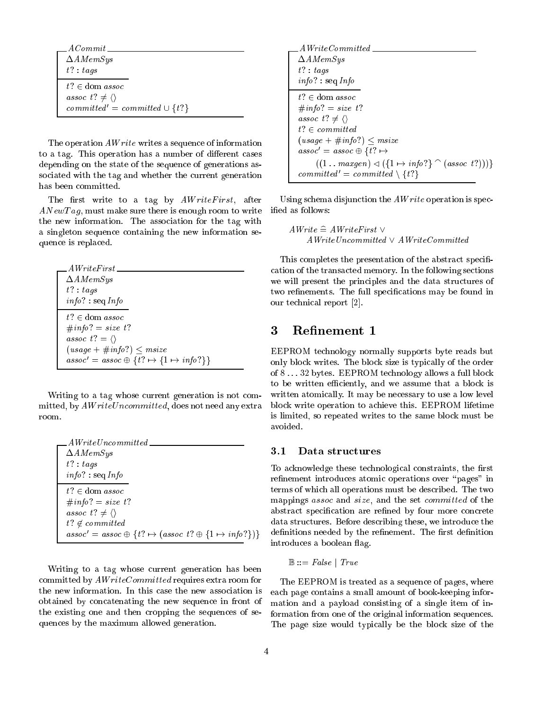| A Commit                             |  |
|--------------------------------------|--|
| $\Delta$ AMemSys                     |  |
| $t$ ? : tags                         |  |
| $t? \in$ dom assoc                   |  |
| assoc $t? \neq \langle \rangle$      |  |
| $committed' = committed \cup \{t?\}$ |  |

The operation  $AWrite$  writes a sequence of information to a tag. This operation has a number of different cases depending on the state of the sequence of generations associated with the tag and whether the current generation has been committed.

The first write to a tag by AW rite First, after  $ANewTag$ , must make sure there is enough room to write the new information. The association for the tag with a singleton sequence containing the new information sequence is replaced.

AWriteFirst  $\Delta AMemsys$  $t$ ? : tags  $info?$  :  $seq\,Info$  $t? \in \text{dom } assoc$  $\#info$ ? = size t? assoc  $t? = \langle \rangle$  $(usage + \#info?) \leq msize$  $assoc' = assoc \oplus \{t? \mapsto \{1 \mapsto info?\}\}\$ 

Writing to a tag whose current generation is not committed, by AW riteUncommitted, does not need any extra room.

| AWriteUncommitted                                                           |
|-----------------------------------------------------------------------------|
| $\Delta AMems$                                                              |
| $t$ ? : tags                                                                |
| $info$ : seq Info                                                           |
| $t? \in$ dom assoc                                                          |
| $\#info$ ? = size t?                                                        |
| assoc $t? \neq \langle \rangle$                                             |
| $t? \notin committed$                                                       |
| $assoc = assoc \oplus \{t? \mapsto (assoc t? \oplus \{1 \mapsto info?\})\}$ |
|                                                                             |

Writing to a tag whose current generation has been committed by  $AW\,riteCommitted\, requires\, extra\, room\, for$ the new information. In this case the new association is obtained by concatenating the new sequence in front of the existing one and then cropping the sequences of sequences by the maximum allowed generation.

| $\mathit{AWriteCommitted}$                                                 |
|----------------------------------------------------------------------------|
| $\triangle AMemSys$                                                        |
| $t$ ? : tags                                                               |
| info? : seqInfo                                                            |
| $t? \in$ dom assoc                                                         |
| $\#info$ ? = size t?                                                       |
| assoc $t? \neq \langle \rangle$                                            |
| $t? \in committed$                                                         |
| $(usage + #info?) $                                                        |
| $assoc' = assoc \oplus \{t? \mapsto$                                       |
| $((1 \dots maxgen) \triangleleft (\{1 \mapsto info?\} \cap (assoc \ t?)))$ |
| committed' = committed \{t?}                                               |

Using schema disjunction the  $AWrite$  operation is specified as follows:

$$
AWrite \cong AWriteFirst \vee
$$
  
AWriteUncommitted \vee AWriteCommitted

This completes the presentation of the abstract specification of the transacted memory. In the following sections we will present the principles and the data structures of two refinements. The full specifications may be found in our technical report [2].

#### 3 Refinement 1

EEPROM technology normally supports byte reads but only block writes. The block size is typically of the order of 8...32 bytes. EEPROM technology allows a full block to be written efficiently, and we assume that a block is written atomically. It may be necessary to use a low level block write operation to achieve this. EEPROM lifetime is limited, so repeated writes to the same block must be avoided.

#### $3.1$ Data structures

To acknowledge these technological constraints, the first refinement introduces atomic operations over "pages" in terms of which all operations must be described. The two mappings assoc and size, and the set committed of the abstract specification are refined by four more concrete data structures. Before describing these, we introduce the definitions needed by the refinement. The first definition introduces a boolean flag.

 $\mathbb{B} ::= False \mid True$ 

The EEPROM is treated as a sequence of pages, where each page contains a small amount of book-keeping information and a payload consisting of a single item of information from one of the original information sequences. The page size would typically be the block size of the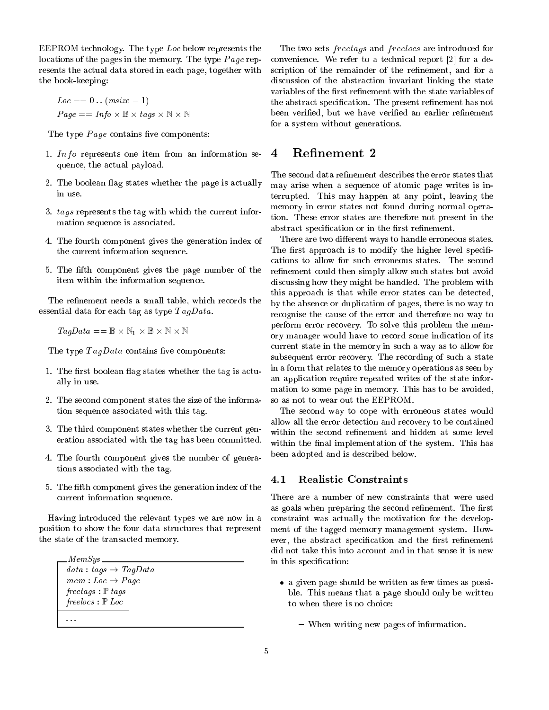EEPROM technology. The type Loc below represents the locations of the pages in the memory. The type Page represents the actual data stored in each page, together with the book-keeping:

$$
Loc == 0. . (msize - 1)
$$
  

$$
Page == Info \times \mathbb{B} \times tags \times \mathbb{N} \times \mathbb{N}
$$

The type  $Page$  contains five components:

- 1. Info represents one item from an information sequence, the actual payload.
- 2. The boolean flag states whether the page is actually in use.
- 3. tags represents the tag with which the current information sequen
e is asso
iated.
- 4. The fourth omponent gives the generation index of the current information sequence.
- 5. The fth omponent gives the page number of the item within the information sequen
e.

The refinement needs a small table, which records the essential data for each tag as type  $TagData$ .

TagData == <sup>B</sup> - N1 - <sup>B</sup> - <sup>N</sup> - <sup>N</sup>

The type  $TagData$  contains five components:

- 1. The first boolean flag states whether the tag is actually in use.
- 2. The se
ond omponent states the size of the information sequen
e asso
iated with this tag.
- 3. The third omponent states whether the urrent generation asso
iated with the tag has been ommitted.
- 4. The fourth omponent gives the number of generations asso
iated with the tag.
- 5. The fth omponent gives the generation index of the urrent information sequen
e.

Having introdu
ed the relevant types we are now in a position to show the four data stru
tures that represent the state of the transa
ted memory.

> MemSys  $data : tags \rightarrow TagData$  $mem : Loc \rightarrow Page$  $freatestags : \mathbb{P}$  tags  $freelocs : \mathbb{P} Loc$ : : :

The two sets *freetags* and *freelocs* are introduced for convenience. We refer to a technical report  $[2]$  for a description of the remainder of the refinement, and for a discussion of the abstraction invariant linking the state variables of the first refinement with the state variables of the abstract specification. The present refinement has not been verified, but we have verified an earlier refinement for a system without generations.

### 4 Renement 2

The second data refinement describes the error states that may arise when a sequen
e of atomi page writes is interrupted. This may happen at any point, leaving the memory in error states not found during normal operation. These error states are therefore not present in the abstract specification or in the first refinement.

There are two different ways to handle erroneous states. The first approach is to modify the higher level specifications to allow for such erroneous states. The second refinement could then simply allow such states but avoid dis
ussing how they might be handled. The problem with this approach is that while error states can be detected, by the absen
e or dupli
ation of pages, there is no way to re
ognise the ause of the error and therefore no way to perform error re
overy. To solve this problem the memory manager would have to re
ord some indi
ation of its urrent state in the memory in su
h a way as to allow for subsequent error recovery. The recording of such a state in a form that relates to the memory operations as seen by an appli
ation require repeated writes of the state information to some page in memory. This has to be avoided, so as not to wear out the EEPROM.

The second way to cope with erroneous states would allow all the error detection and recovery to be contained within the second refinement and hidden at some level within the final implementation of the system. This has been adopted and is des
ribed below.

#### Realisti Constraints  $4.1$  $-1$

There are a number of new onstraints that were used as goals when preparing the second refinement. The first onstraint was a
tually the motivation for the development of the tagged memory management system. However, the abstract specification and the first refinement did not take this into account and in that sense it is new in this specification:

- a given page should be written as few times as possible. This means that a page should only be written to when there is no choice:
	- { When writing new pages of information.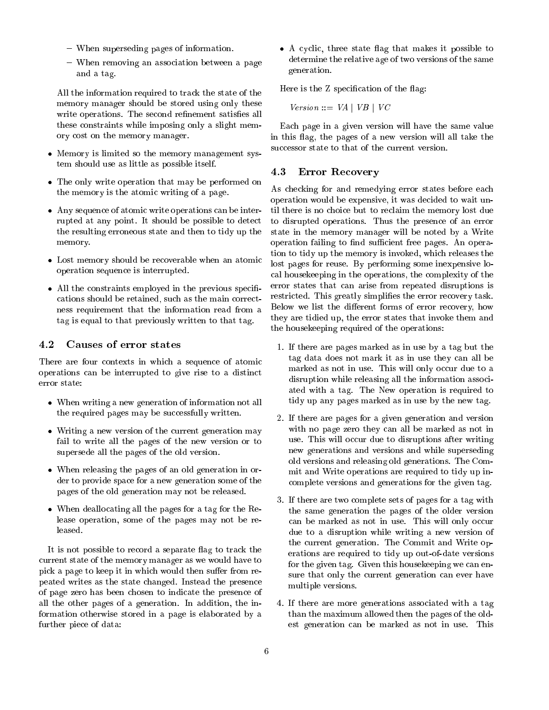- { When superseding pages of information.
- When removing an association between a page and a tag.

All the information required to tra
k the state of the memory manager should be stored using only these write operations. The second refinement satisfies all these onstraints while imposing only a slight memory ost on the memory manager.

- Memory is limited so the memory management system should use as little as possible itself.
- The only write operation that may be performed on the memory is the atomic writing of a page.
- Any sequen
e of atomi write operations an be interrupted at any point. It should be possible to dete
t the resulting erroneous state and then to tidy up the memory.
- Lost memory should be re
overable when an atomi operation sequen
e is interrupted.
- All the onstraints employed in the previous spe
i ations should be retained, su
h as the main orre
tness requirement that the information read from a tag is equal to that previously written to that tag.

#### 4.2Causes of error states

There are four contexts in which a sequence of atomic operations an be interrupted to give rise to a distin
t error state:

- $\mathcal{M}$  with writing a new ground of information not all  $\mathcal{M}$ the required pages may be successfully written.
- writing a new version of the version growing may fail to write all the pages of the new version or to supersede all the pages of the old version.
- where  $\mathbf{r}$  releases of an old generation in order  $\mathbf{r}$ der to provide spa
e for a new generation some of the pages of the old generation may not be released.
- when a time the pages for a tag for the Release operation, some of the pages may not be released.

It is not possible to record a separate flag to track the urrent state of the memory manager as we would have to pick a page to keep it in which would then suffer from repeated writes as the state hanged. Instead the presen
e of page zero has been hosen to indi
ate the presen
e of all the other pages of a generation. In addition, the information otherwise stored in a page is elaborated by a further pie
e of data:

 A y
li
, three state ag that makes it possible to determine the relative age of two versions of the same generation.

Here is the Z specification of the flag:

 $Version :: = VA | VB | VC$ 

Ea
h page in a given version will have the same value in this ag, the pages of a new version will all take the successor state to that of the current version.

#### 4.3Error Recovery

As checking for and remedying error states before each operation would be expensive, it was decided to wait until there is no choice but to reclaim the memory lost due to disrupted operations. Thus the presen
e of an error state in the memory manager will be noted by a Write operation failing to find sufficient free pages. An operation to tidy up the memory is invoked, whi
h releases the lost pages for reuse. By performing some inexpensive lo al housekeeping in the operations, the omplexity of the error states that an arise from repeated disruptions is restricted. This greatly simplifies the error recovery task. Below we list the different forms of error recovery, how they are tidied up, the error states that invoke them and the housekeeping required of the operations:

- 1. If there are pages marked as in use by a tag but the tag data does not mark it as in use they can all be marked as not in use. This will only occur due to a disruption while releasing all the information asso
iated with a tag. The New operation is required to tidy up any pages marked as in use by the new tag.
- 2. If there are pages for a given generation and version with no page zero they can all be marked as not in use. This will occur due to disruptions after writing new generations and versions and while superseding old versions and releasing old generations. The Commit and Write operations are required to tidy up in omplete versions and generations for the given tag.
- 3. If there are two omplete sets of pages for a tag with the same generation the pages of the older version can be marked as not in use. This will only occur due to a disruption while writing a new version of the urrent generation. The Commit and Write operations are required to tidy up out-of-date versions for the given tag. Given this housekeeping we can ensure that only the current generation can ever have multiple versions.
- 4. If there are more generations asso
iated with a tag than the maximum allowed then the pages of the oldest generation an be marked as not in use. This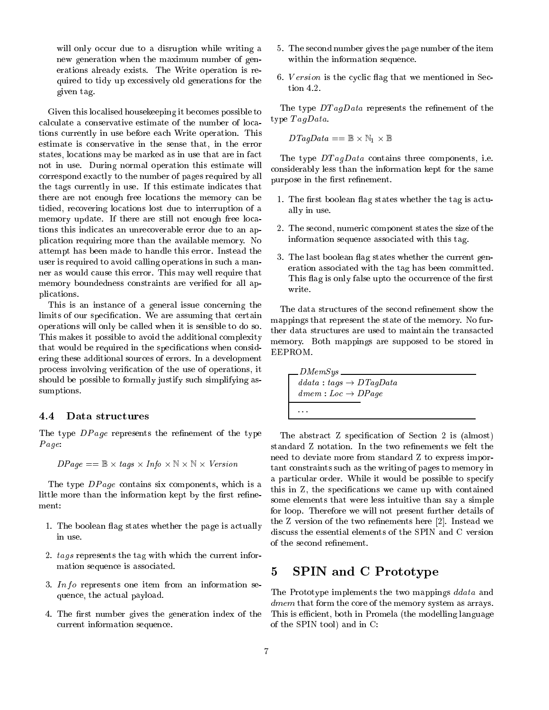will only occur due to a disruption while writing a new generation when the maximum number of generations already exists. The Write operation is required to tidy up ex
essively old generations for the given tag.

Given this lo
alised housekeeping it be
omes possible to al
ulate a onservative estimate of the number of lo
ations urrently in use before ea
h Write operation. This estimate is onservative in the sense that, in the error states, locations may be marked as in use that are in fact not in use. During normal operation this estimate will orrespond exa
tly to the number of pages required by all the tags currently in use. If this estimate indicates that there are not enough free locations the memory can be tidied, recovering locations lost due to interruption of a memory update. If there are still not enough free locations this indicates an unrecoverable error due to an appli
ation requiring more than the available memory. No attempt has been made to handle this error. Instead the user is required to avoid calling operations in such a manner as would ause this error. This may well require that memory boundedness constraints are verified for all appli
ations.

This is an instan
e of a general issue on
erning the limits of our specification. We are assuming that certain operations will only be alled when it is sensible to do so. This makes it possible to avoid the additional omplexity that would be required in the specifications when considering these additional sour
es of errors. In a development process involving verification of the use of operations, it should be possible to formally justify su
h simplifying assumptions.

### 4.4

The type  $DPage$  represents the refinement of the type Page:

$$
DPage == \mathbb{B} \times tags \times Info \times \mathbb{N} \times \mathbb{N} \times Version
$$

The type *DPage* contains six components, which is a little more than the information kept by the first refinement:

- 1. The boolean flag states whether the page is actually in use.
- 2. tags represents the tag with which the current information sequen
e is asso
iated.
- 3.  $Info$  represents one item from an information sequence, the actual payload.
- 4. The first number gives the generation index of the urrent information sequen
e.
- 5. The se
ond number gives the page number of the item within the information sequence.
- 6. Version is the cyclic flag that we mentioned in Section  $4.2$ .

The type  $DTagData$  represents the refinement of the type TagData.

$$
DTagData == \mathbb{B} \times \mathbb{N}_1 \times \mathbb{B}
$$

The type  $DTagData$  contains three components, i.e. onsiderably less than the information kept for the same purpose in the first refinement.

- 1. The first boolean flag states whether the tag is actually in use.
- 2. The second, numeric component states the size of the information sequen
e asso
iated with this tag.
- 3. The last boolean ag states whether the urrent generation asso
iated with the tag has been ommitted. This flag is only false upto the occurrence of the first write.

The data structures of the second refinement show the mappings that represent the state of the memory. No further data structures are used to maintain the transacted memory. Both mappings are supposed to be stored in EEPROM.

 $.$  DMemSys  $\equiv$  $ddata : tags \rightarrow DTagData$  $dmem : Loc \rightarrow DPage$ : : :

The abstract Z specification of Section 2 is (almost) standard Z notation. In the two renements we felt the need to deviate more from standard Z to express important onstraints su
h as the writing of pages to memory in a particular order. While it would be possible to specify this in Z, the specifications we came up with contained some elements that were less intuitive than say a simple for loop. Therefore we will not present further details of the Z version of the two refinements here  $[2]$ . Instead we discuss the essential elements of the SPIN and C version of the second refinement.

### 5 SPIN and C Prototype

The Prototype implements the two mappings *ddata* and dmem that form the core of the memory system as arrays. This is efficient, both in Promela (the modelling language of the SPIN tool) and in C: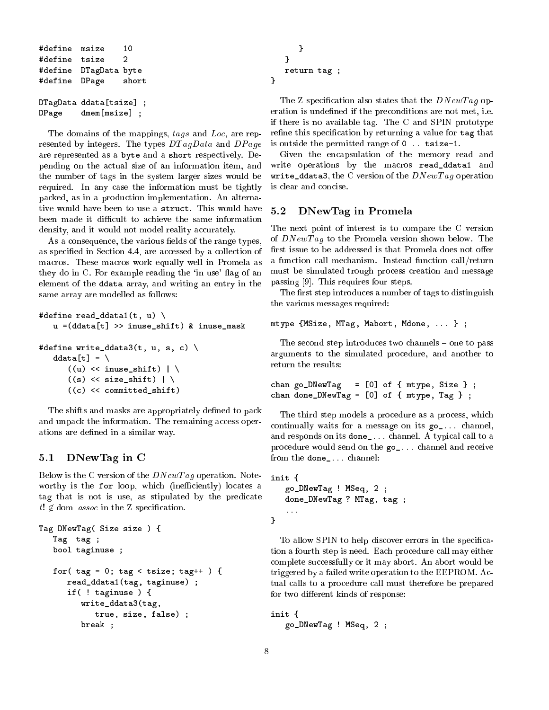```
#define msize
                    10
#define tsize
                    \overline{2}#define DTagData byte
#define DPage
                    short
DTagData ddata[tsize] ;
DPage
          dmem[msize] ;
```
The domains of the mappings, tags and Loc, are represented by integers. The types DTagData and DPage are represented as a byte and a short respectively. Depending on the actual size of an information item, and the number of tags in the system larger sizes would be required. In any case the information must be tightly packed, as in a production implementation. An alternative would have been to use a struct. This would have been made it difficult to achieve the same information density, and it would not model reality accurately.

As a consequence, the various fields of the range types, as specified in Section 4.4, are accessed by a collection of macros. These macros work equally well in Promela as they do in C. For example reading the 'in use' flag of an element of the ddata array, and writing an entry in the same array are modelled as follows:

```
#define read_ddata1(t, u) \setminusu = (data[t] >> inuse-shift) & inuse_mask
#define write_ddata3(t, u, s, c) \
   ddata[t] = \langle((u) \le \text{image}_\text{shift})((s) \leq size\_shift) | \
```
 $((c) \leq \text{ committed\_shift})$ 

The shifts and masks are appropriately defined to pack and unpack the information. The remaining access operations are defined in a similar way.

#### DNewTag in C  $5.1$

Below is the C version of the  $DNewTag$  operation. Noteworthy is the for loop, which (inefficiently) locates a tag that is not is use, as stipulated by the predicate  $t! \notin$  dom *assoc* in the Z specification.

```
Tag DNewTag (Size size ) {
   Tag tag;
  bool taginuse ;
   for(tag = 0; tag < tsize; tag++) {
     read_ddata1(tag, taginuse) ;
      if ( ! taginuse ) {
         write ddata3(tag,
            true, size, false) ;
         break :
```

```
}
     \mathcal{F}return tag ;
}
```
The Z specification also states that the  $DNewTag$  operation is undefined if the preconditions are not met, i.e. if there is no available tag. The C and SPIN prototype refine this specification by returning a value for tag that is outside the permitted range of 0... tsize-1.

Given the encapsulation of the memory read and write operations by the macros read\_ddata1 and write\_ddata3, the C version of the  $DNewTag$  operation is clear and concise.

#### $5.2$ **DNewTag in Promela**

The next point of interest is to compare the C version of  $DNewTag$  to the Promela version shown below. The first issue to be addressed is that Promela does not offer a function call mechanism. Instead function call/return must be simulated trough process creation and message passing [9]. This requires four steps.

The first step introduces a number of tags to distinguish the various messages required:

```
mtype {MSize, MTag, Mabort, Mdone, ... };
```
The second step introduces two channels – one to pass arguments to the simulated procedure, and another to return the results:

```
= [0] of { mtype, Size } ;
chan go_DNewTag
chan done_DNewTag = [0] of { mtype, Tag } ;
```
The third step models a procedure as a process, which continually waits for a message on its go... channel. and responds on its done\_... channel. A typical call to a procedure would send on the go... channel and receive from the done\_... channel:

```
init {
   go_DNewTag ! MSeq, 2;
   done_DNewTag ? MTag, tag ;
   \mathbf{1}}
```
To allow SPIN to help discover errors in the specification a fourth step is need. Each procedure call may either complete successfully or it may abort. An abort would be triggered by a failed write operation to the EEPROM. Actual calls to a procedure call must therefore be prepared for two different kinds of response:

init f go\_DNewTag ! MSeq, 2;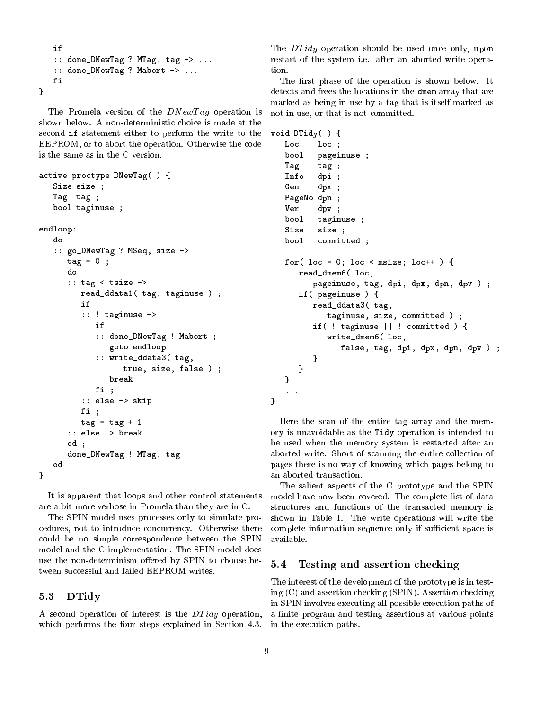```
if
:: done_DNewTag ? MTag, tag -> ...
:: done_DNewTag ? Mabort -> ...
fi
```
}

The Promela version of the  $DNewTag$  operation is shown below. A non-deterministic choice is made at the se
ond if statement either to perform the write to the EEPROM, or to abort the operation. Otherwise the code is the same as in the C version.

```
a
tive pro
type DNewTag( ) {
   Size size ;
   Tag tag ;
   bool taginuse ;
endloop:
   do
   :: go_DNewTag ? MSeq, size ->
      tag = 0;
      do
      :: tag < tsize ->
         read_ddata1( tag, taginuse ) ;
         if
         :: ! taginuse ->
            if
            :: done_DNewTag ! Mabort ;
               goto endloop
            :: write_ddata3( tag,
                  true, size, false ) ;
               break
            fi ;
         :: else -> skip
         fi ;
         tag = tag + 1:: else -> break
      od ;
      done_DNewTag ! MTag, tag
   od
}
```
It is apparent that loops and other ontrol statements are a bit more verbose in Promela than they are in C.

The SPIN model uses pro
esses only to simulate pro cedures, not to introduce concurrency. Otherwise there ould be no simple orresponden
e between the SPIN model and the C implementation. The SPIN model does use the non-determinism offered by SPIN to choose between successful and failed EEPROM writes.

#### $5.3$ **D**Tidy

A second operation of interest is the DTidy operation, which performs the four steps explained in Section 4.3.

The DTidy operation should be used once only, upon restart of the system i.e. after an aborted write operation.

The first phase of the operation is shown below. It detects and frees the locations in the dmem array that are marked as being in use by a tag that is itself marked as not in use, or that is not ommitted.

```
void DTidy( ) {
   Loc loc;
   bool pageinuse ;
   Tag tag ;
   Info dpi ;
   Gen dpx ;
   PageNo dpn ;
   Ver dpv ;
   bool taginuse ;
   Size
          size ;
   bool 
ommitted ;
   for( loc = 0; loc < msize; loc++ ) {
      read_dmem6( lo
,
         pageinuse, tag, dpi, dpx, dpn, dpv ) ;
      if( pageinuse ) {
         read_ddata3( tag,
            taginuse, size, 
ommitted ) ;
         if( ! taginuse || ! 
ommitted ) {
            write_dmem6( lo
,
               false, tag, dpi, dpx, dpn, dpv ) ;
         }
      }
   }
}
```
Here the s
an of the entire tag array and the memory is unavoidable as the Tidy operation is intended to be used when the memory system is restarted after an aborted write. Short of scanning the entire collection of pages there is no way of knowing whi
h pages belong to an aborted transa
tion.

The salient aspe
ts of the C prototype and the SPIN model have now been overed. The omplete list of data stru
tures and fun
tions of the transa
ted memory is shown in Table 1. The write operations will write the complete information sequence only if sufficient space is available.

#### 5.4Testing and assertion he
king

The interest of the development of the prototype is in testing (C) and assertion checking (SPIN). Assertion checking in SPIN involves exe
uting all possible exe
ution paths of a finite program and testing assertions at various points in the execution paths.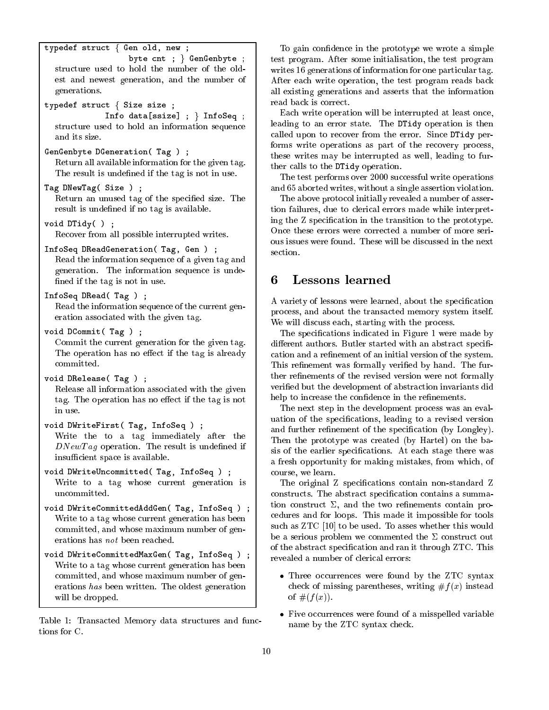```
typedef struct \{ Gen old, new;
                    byte cnt ; \} GenGenbyte ;
  stru
ture used to hold the number of the old-
  est and newest generation, and the number of
  generations.
typedef struct \{ Size size;
              Info data[ssize] ; \} InfoSeq ;
  structure used to hold an information sequence
  and its size.
GenGenbyte DGeneration( Tag ) ;
  Return all available information for the given tag.
  The result is undefined if the tag is not in use.
Tag DNewTag( Size ) ;
  Return an unused tag of the specified size. The
  result is undefined if no tag is available.
void DTidy( ) ;
  Recover from all possible interrupted writes.
InfoSeq DReadGeneration( Tag, Gen ) ;
  Read the information sequen
e of a given tag and
  generation. The information sequen
e is unde-
  fined if the tag is not in use.
InfoSeq DRead( Tag ) ;
  Read the information sequen
e of the 
urrent gen-
  eration asso
iated with the given tag.
void DCommit( Tag ) ;
  Commit the current generation for the given tag.
  The operation has no effect if the tag is already

ommitted.
void DRelease( Tag ) ;
  Release all information asso
iated with the given
  tag. The operation has no effect if the tag is not
  in use.
void DWriteFirst( Tag, InfoSeq ) ;
  Write the to a tag immediately after the
  DNewTag operation. The result is undefined if
  insufficient space is available.
void DWriteUn
ommitted( Tag, InfoSeq ) ;
  Write to a tag whose 
urrent generation is
void DWriteCommittedAddGen( Tag, InfoSeq ) ;
  Write to a tag whose 
urrent generation has been

ommitted, and whose maximum number of gen-
  erations has not been rea
hed.
void DWriteCommittedMaxGen( Tag, InfoSeq ) ;
  Write to a tag whose current generation has been

ommitted, and whose maximum number of gen-
  erations has been written. The oldest generation
  will be dropped.
```
Table 1: Transacted Memory data structures and functions for C.

To gain confidence in the prototype we wrote a simple test program. After some initialisation, the test program writes 16 generations of information for one particular tag. After ea
h write operation, the test program reads ba
k all existing generations and asserts that the information read back is correct.

Ea
h write operation will be interrupted at least on
e, leading to an error state. The DTidy operation is then called upon to recover from the error. Since DTidy performs write operations as part of the recovery process, these writes may be interrupted as well, leading to further alls to the DTidy operation.

The test performs over 2000 successful write operations and 65 aborted writes, without a single assertion violation.

The above proto
ol initially revealed a number of assertion failures, due to leri
al errors made while interpreting the Z specification in the transition to the prototype. Once these errors were corrected a number of more serious issues were found. These will be dis
ussed in the next section.

## 6 Lessons learned

A variety of lessons were learned, about the specification pro
ess, and about the transa
ted memory system itself. We will discuss each, starting with the process.

The specifications indicated in Figure 1 were made by different authors. Butler started with an abstract specification and a refinement of an initial version of the system. This refinement was formally verified by hand. The further refinements of the revised version were not formally veried but the development of abstra
tion invariants did help to increase the confidence in the refinements.

The next step in the development process was an evaluation of the specifications, leading to a revised version and further refinement of the specification (by Longley). Then the prototype was created (by Hartel) on the basis of the earlier specifications. At each stage there was a fresh opportunity for making mistakes, from whi
h, of ourse, we learn.

The original Z specifications contain non-standard Z constructs. The abstract specification contains a summation construct  $\Sigma$ , and the two refinements contain proedures and for loops. This made it impossible for tools such as ZTC [10] to be used. To asses whether this would be a serious problem we commented the  $\Sigma$  construct out of the abstract specification and ran it through ZTC. This revealed a number of clerical errors:

- the contract of the synthesis of the ZTC synthesis check of missing parentheses, writing  $\# f(x)$  instead of  $#(f(x))$ .
- Five o

urren
es were found of a misspelled variable name by the ZTC syntax he
k.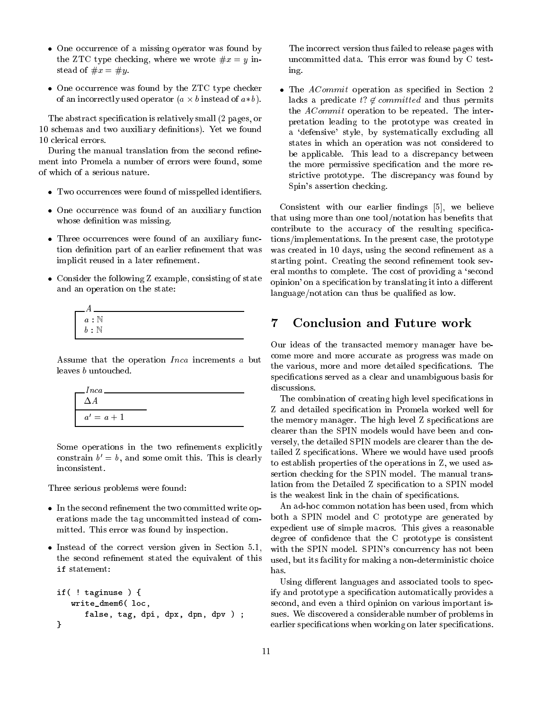- One o

urren
e of a missing operator was found by the ZTC type checking, where we wrote  $\#x = y$  instead of  $\#x = \#y$ .
- van oorseer was found by the was found by the L of an in
orre
tly used operator (a - b instead of a b).

The abstract specification is relatively small (2 pages, or 10 s
hemas and two auxiliary denitions). Yet we found 10 clerical errors.

During the manual translation from the second refinement into Promela a number of errors were found, some of whi
h of a serious nature.

- <u>– were found of missed in the found of mission and the contract</u>
- One o

urren
e was found of an auxiliary fun
tion whose definition was missing.
- Three o

urren
es were found of an auxiliary fun
 tion definition part of an earlier refinement that was implicit reused in a later refinement.
- o onsisting the following  $Z$  examples, the following the state of and an operation on the state:



Assume that the operation Inca increments a but leaves b untou
hed.

| Inca         |  |  |
|--------------|--|--|
| $\Lambda$ A  |  |  |
| $a' = a + 1$ |  |  |

Some operations in the two refinements explicitly constrain  $\theta = \theta$ , and some omit this. This is clearly in
onsistent.

Three serious problems were found:

- In the se
ond renement the two ommitted write operations made the tag uncommitted instead of committed. This error was found by inspection.
- Instead of the orre
t version given in Se
tion 5.1, the second refinement stated the equivalent of this if statement:

```
if( ! taginuse ) {
   write dmem6( loc.
      false, tag, dpi, dpx, dpn, dpv ) ;
}
```
The in
orre
t version thus failed to release pages with un
ommitted data. This error was found by C testing.

the Acommittee of the Section and Section 2006, the Section 2006 lacks a predicate  $t$ ?  $\notin committed$  and thus permits the *ACommit* operation to be repeated. The interpretation leading to the prototype was created in a 'defensive' style, by systematically excluding all states in which an operation was not considered to be applicable. This lead to a discrepancy between the more permissive specification and the more restrictive prototype. The discrepancy was found by Spin's assertion checking.

Consistent with our earlier findings [5], we believe that using more than one tool/notation has benefits that contribute to the accuracy of the resulting specifications/implementations. In the present ase, the prototype was created in 10 days, using the second refinement as a starting point. Creating the second refinement took several months to complete. The cost of providing a 'second opinion' on a specification by translating it into a different language/notation can thus be qualified as low.

### 7 Con
lusion and Future work

Our ideas of the transa
ted memory manager have be come more and more accurate as progress was made on the various, more and more detailed specifications. The specifications served as a clear and unambiguous basis for discussions.

The combination of creating high level specifications in Z and detailed specification in Promela worked well for the memory manager. The high level Z specifications are clearer than the SPIN models would have been and conversely, the detailed SPIN models are clearer than the detailed Z specifications. Where we would have used proofs to establish properties of the operations in Z, we used assertion checking for the SPIN model. The manual translation from the Detailed Z specification to a SPIN model is the weakest link in the chain of specifications.

An ad-hoc common notation has been used, from which both a SPIN model and C prototype are generated by expedient use of simple macros. This gives a reasonable degree of confidence that the C prototype is consistent with the SPIN model. SPIN's concurrency has not been used, but its facility for making a non-deterministic choice

Using different languages and associated tools to specify and prototype a specification automatically provides a second, and even a third opinion on various important issues. We dis
overed a onsiderable number of problems in earlier specifications when working on later specifications.